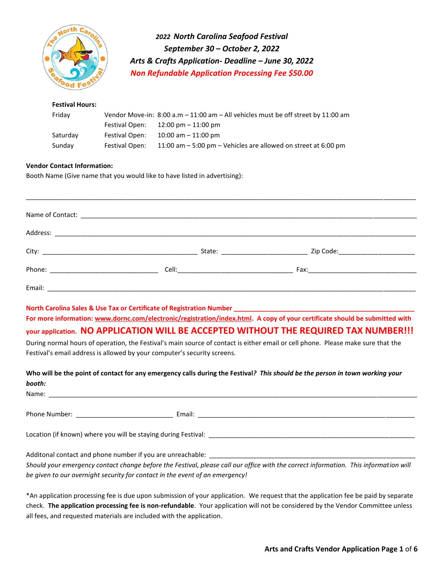

*2022 North Carolina Seafood Festival September 30 – October 2, 2022 Arts & Crafts Application- Deadline – June 30, 2022 Non Refundable Application Processing Fee \$50.00* 

### **Festival Hours:**  Friday Vendor Move-in: 8:00 a.m – 11:00 am – All vehicles must be off street by 11:00 am Festival Open: 12:00 pm – 11:00 pm Saturday Festival Open: 10:00 am – 11:00 pm Sunday Festival Open: 11:00 am – 5:00 pm – Vehicles are allowed on street at 6:00 pm

#### **Vendor Contact Information:**

Booth Name (Give name that you would like to have listed in advertising):

**North Carolina Sales & Use Tax or Certificate of Registration Number \_\_\_\_\_\_\_\_\_\_\_\_\_\_\_\_\_\_\_\_\_\_\_\_\_\_\_\_\_\_\_\_\_\_\_\_\_\_\_\_\_\_\_\_\_\_\_\_\_\_**

**For more information: [www.dornc.com/electronic/registration/index.html.](http://www.dornc.com/electronic/registration/index.html) A copy of your certificate should be submitted with** 

### **your application. NO APPLICATION WILL BE ACCEPTED WITHOUT THE REQUIRED TAX NUMBER!!!**

During normal hours of operation, the Festival's main source of contact is either email or cell phone. Please make sure that the Festival's email address is allowed by your computer's security screens.

**Who will be the point of contact for any emergency calls during the Festival***? This should be the person in town working your booth:* 

| Name:                                                      |                                                                                                                                                                                                                                |
|------------------------------------------------------------|--------------------------------------------------------------------------------------------------------------------------------------------------------------------------------------------------------------------------------|
|                                                            |                                                                                                                                                                                                                                |
| Phone Number: <u>________________</u>                      | Email: Email: Email: Email: Email: Email: Email: Email: Email: Email: Email: Email: Email: Email: Email: Email: Email: Email: Email: Email: Email: Email: Email: Email: Email: Email: Email: Email: Email: Email: Email: Email |
|                                                            |                                                                                                                                                                                                                                |
|                                                            |                                                                                                                                                                                                                                |
|                                                            |                                                                                                                                                                                                                                |
| Additonal contact and phone number if you are unreachable: |                                                                                                                                                                                                                                |

*Should your emergency contact change before the Festival, please call our office with the correct information. This information will be given to our overnight security for contact in the event of an emergency!*

\*An application processing fee is due upon submission of your application. We request that the application fee be paid by separate check. **The application processing fee is non-refundable**. Your application will not be considered by the Vendor Committee unless all fees, and requested materials are included with the application.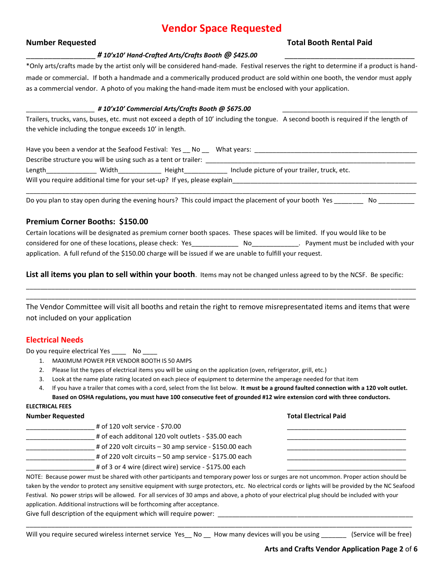# **Vendor Space Requested**

### **Number Requested Total Booth Rental Paid**

#### \_\_\_\_\_\_\_\_\_\_\_\_\_\_\_\_ *# 10'x10' Hand-Crafted Arts/Crafts Booth @ \$425.00* \_\_\_\_\_\_\_\_\_\_\_\_\_\_\_\_\_\_\_\_\_\_\_\_\_\_\_\_\_\_

\*Only arts/crafts made by the artist only will be considered hand-made. Festival reserves the right to determine if a product is handmade or commercial. If both a handmade and a commerically produced product are sold within one booth, the vendor must apply as a commercial vendor. A photo of you making the hand-made item must be enclosed with your application.

#### \_\_\_\_\_\_\_\_\_\_\_\_\_\_\_\_\_\_\_ *# 10'x10' Commercial Arts/Crafts Booth @ \$675.00* \_\_\_\_\_\_\_\_\_\_\_\_\_\_\_\_\_\_\_\_\_\_\_\_ \_\_\_\_\_\_\_\_\_\_\_\_\_

Trailers, trucks, vans, buses, etc. must not exceed a depth of 10' including the tongue. A second booth is required if the length of the vehicle including the tongue exceeds 10' in length.

| Have you been a vendor at the Seafood Festival: Yes No                   |       |        | What years:                                  |  |
|--------------------------------------------------------------------------|-------|--------|----------------------------------------------|--|
| Describe structure you will be using such as a tent or trailer:          |       |        |                                              |  |
| Length                                                                   | Width | Height | Include picture of your trailer, truck, etc. |  |
| Will you require additional time for your set-up? If yes, please explain |       |        |                                              |  |
|                                                                          |       |        |                                              |  |

Do you plan to stay open during the evening hours? This could impact the placement of your booth Yes No \_\_\_\_\_\_

### **Premium Corner Booths: \$150.00**

Certain locations will be designated as premium corner booth spaces. These spaces will be limited. If you would like to be considered for one of these locations, please check: Yes\_\_\_\_\_\_\_\_\_\_\_\_\_ No\_\_\_\_\_\_\_\_\_\_\_\_\_. Payment must be included with your application. A full refund of the \$150.00 charge will be issued if we are unable to fulfill your request.

**List all items you plan to sell within your booth**. Items may not be changed unless agreed to by the NCSF. Be specific:

The Vendor Committee will visit all booths and retain the right to remove misrepresentated items and items that were not included on your application

\_\_\_\_\_\_\_\_\_\_\_\_\_\_\_\_\_\_\_\_\_\_\_\_\_\_\_\_\_\_\_\_\_\_\_\_\_\_\_\_\_\_\_\_\_\_\_\_\_\_\_\_\_\_\_\_\_\_\_\_\_\_\_\_\_\_\_\_\_\_\_\_\_\_\_\_\_\_\_\_\_\_\_\_\_\_\_\_\_\_\_\_\_\_\_\_\_\_\_\_\_\_\_\_\_\_\_\_ \_\_\_\_\_\_\_\_\_\_\_\_\_\_\_\_\_\_\_\_\_\_\_\_\_\_\_\_\_\_\_\_\_\_\_\_\_\_\_\_\_\_\_\_\_\_\_\_\_\_\_\_\_\_\_\_\_\_\_\_\_\_\_\_\_\_\_\_\_\_\_\_\_\_\_\_\_\_\_\_\_\_\_\_\_\_\_\_\_\_\_\_\_\_\_\_\_\_\_\_\_\_\_\_\_\_\_\_

### **Electrical Needs**

Do you require electrical Yes \_\_\_\_\_ No

- 1. MAXIMUM POWER PER VENDOR BOOTH IS 50 AMPS
- 2. Please list the types of electrical items you will be using on the application (oven, refrigerator, grill, etc.)
- 3. Look at the name plate rating located on each piece of equipment to determine the amperage needed for that item
- 4. If you have a trailer that comes with a cord, select from the list below. **It must be a ground faulted connection with a 120 volt outlet. Based on OSHA regulations, you must have 100 consecutive feet of grounded #12 wire extension cord with three conductors.**

### **ELECTRICAL FEES**

| <b>Number Requested</b> |                                                                                                                                                     | <b>Total Electrical Paid</b> |
|-------------------------|-----------------------------------------------------------------------------------------------------------------------------------------------------|------------------------------|
|                         | # of 120 volt service - \$70.00                                                                                                                     |                              |
|                         | # of each additonal 120 volt outlets - \$35.00 each                                                                                                 |                              |
|                         | # of 220 volt circuits - 30 amp service - \$150.00 each                                                                                             |                              |
|                         | # of 220 volt circuits - 50 amp service - \$175.00 each                                                                                             |                              |
|                         | # of 3 or 4 wire (direct wire) service - \$175.00 each                                                                                              |                              |
|                         | NOTE: Because power must be shared with other participants and temporary power loss or surges are not uncommon. Proper action should be             |                              |
|                         | taken by the vender to protect any consitive equipment with surge protecters ats. No electrical service or lights will be provided by the NC Seafes |                              |

taken by the vendor to protect any sensitive equipment with surge protectors, etc. No electrical cords or lights will be provided by the NC Seafood Festival. No power strips will be allowed. For all services of 30 amps and above, a photo of your electrical plug should be included with your application. Additional instructions will be forthcoming after acceptance.

\_\_\_\_\_\_\_\_\_\_\_\_\_\_\_\_\_\_\_\_\_\_\_\_\_\_\_\_\_\_\_\_\_\_\_\_\_\_\_\_\_\_\_\_\_\_\_\_\_\_\_\_\_\_\_\_\_\_\_\_\_\_\_\_\_\_\_\_\_\_\_\_\_\_\_\_\_\_\_\_\_\_\_\_\_\_\_\_\_\_\_\_\_\_\_\_\_\_\_\_\_\_\_\_\_\_\_

Give full description of the equipment which will require power: \_

Will you require secured wireless internet service Yes\_\_ No \_\_ How many devices will you be using \_\_\_\_\_\_\_ (Service will be free)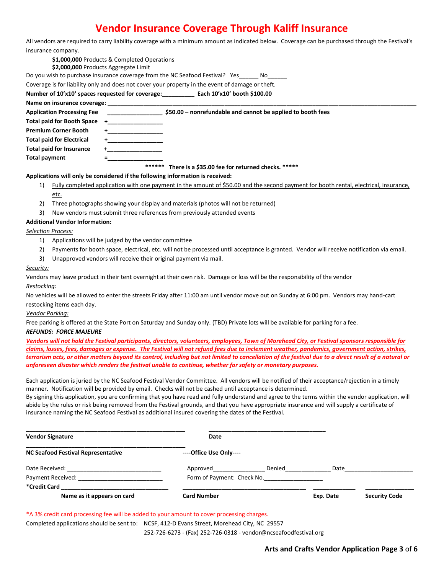# **Vendor Insurance Coverage Through Kaliff Insurance**

| All vendors are required to carry liability coverage with a minimum amount as indicated below. Coverage can be purchased through the Festival's |  |
|-------------------------------------------------------------------------------------------------------------------------------------------------|--|
| insurance company.                                                                                                                              |  |

|                                                                                 | \$1,000,000 Products & Completed Operations<br>\$2,000,000 Products Aggregate Limit |                                                                                                                                       |  |  |
|---------------------------------------------------------------------------------|-------------------------------------------------------------------------------------|---------------------------------------------------------------------------------------------------------------------------------------|--|--|
| Do you wish to purchase insurance coverage from the NC Seafood Festival? Yes Mo |                                                                                     |                                                                                                                                       |  |  |
|                                                                                 |                                                                                     | Coverage is for liability only and does not cover your property in the event of damage or theft.                                      |  |  |
|                                                                                 |                                                                                     | Number of 10'x10' spaces requested for coverage: Each 10'x10' booth \$100.00                                                          |  |  |
| Name on insurance coverage:                                                     |                                                                                     |                                                                                                                                       |  |  |
| <b>Application Processing Fee</b>                                               |                                                                                     | \$50.00 - nonrefundable and cannot be applied to booth fees                                                                           |  |  |
| Total paid for Booth Space                                                      | $+$ $-$                                                                             |                                                                                                                                       |  |  |
| <b>Premium Corner Booth</b>                                                     |                                                                                     |                                                                                                                                       |  |  |
| <b>Total paid for Electrical</b>                                                |                                                                                     |                                                                                                                                       |  |  |
| <b>Total paid for Insurance</b>                                                 |                                                                                     |                                                                                                                                       |  |  |
| Total payment                                                                   |                                                                                     |                                                                                                                                       |  |  |
|                                                                                 | ******                                                                              | There is a \$35.00 fee for returned checks. *****                                                                                     |  |  |
| Applications will only be considered if the following information is received:  |                                                                                     |                                                                                                                                       |  |  |
| 1)                                                                              |                                                                                     | Fully completed application with one payment in the amount of \$50.00 and the second payment for booth rental, electrical, insurance, |  |  |
| etc.                                                                            |                                                                                     |                                                                                                                                       |  |  |

- 2) Three photographs showing your display and materials (photos will not be returned)
- 3) New vendors must submit three references from previously attended events

#### **Additional Vendor Information:**

#### *Selection Process:*

- 1) Applications will be judged by the vendor committee
- 2) Payments for booth space, electrical, etc. will not be processed until acceptance is granted. Vendor will receive notification via email.
- 3) Unapproved vendors will receive their original payment via mail.

#### *Security:*

Vendors may leave product in their tent overnight at their own risk. Damage or loss will be the responsibility of the vendor

#### *Restocking:*

No vehicles will be allowed to enter the streets Friday after 11:00 am until vendor move out on Sunday at 6:00 pm. Vendors may hand-cart restocking items each day.

#### *Vendor Parking:*

Free parking is offered at the State Port on Saturday and Sunday only. (TBD) Private lots will be available for parking for a fee.

#### *REFUNDS: FORCE MAJEURE*

*Vendors will not hold the Festival participants, directors, volunteers, employees, Town of Morehead City, or Festival sponsors responsible for claims, losses, fees, damages or expense. The Festival will not refund fees due to inclement weather, pandemics, government action, strikes, terrorism acts, or other matters beyond its control, including but not limited to cancellation of the festival due to a direct result of a natural or unforeseen disaster which renders the festival unable to continue, whether for safety or monetary purposes.*

Each application is juried by the NC Seafood Festival Vendor Committee. All vendors will be notified of their acceptance/rejection in a timely manner. Notification will be provided by email. Checks will not be cashed until acceptance is determined.

By signing this application, you are confirming that you have read and fully understand and agree to the terms within the vendor application, will abide by the rules or risk being removed from the Festival grounds, and that you have appropriate insurance and will supply a certificate of insurance naming the NC Seafood Festival as additional insured covering the dates of the Festival.

| <b>Vendor Signature</b>                   | Date                       |        |           |                      |
|-------------------------------------------|----------------------------|--------|-----------|----------------------|
| <b>NC Seafood Festival Representative</b> | ----Office Use Only----    |        |           |                      |
| Date Received:                            | Approved                   | Denied | Date      |                      |
| Payment Received:                         | Form of Payment: Check No. |        |           |                      |
| *Credit Card                              |                            |        |           |                      |
| Name as it appears on card                | Card Number                |        | Exp. Date | <b>Security Code</b> |

\*A 3% credit card processing fee will be added to your amount to cover processing charges.

Completed applications should be sent to: NCSF, 412-D Evans Street, Morehead City, NC 29557

252-726-6273 - (Fax) 252-726-0318 - vendor@ncseafoodfestival.org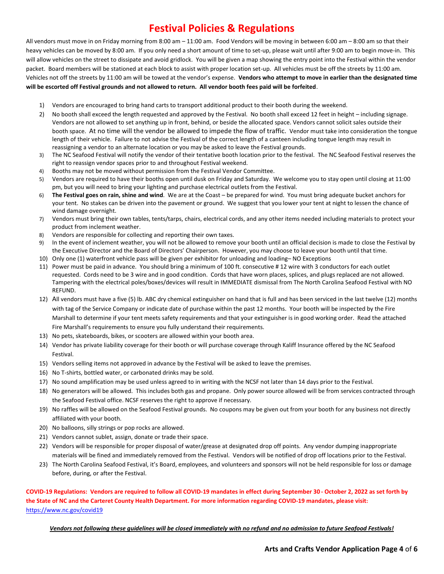# **Festival Policies & Regulations**

All vendors must move in on Friday morning from 8:00 am – 11:00 am. Food Vendors will be moving in between 6:00 am – 8:00 am so that their heavy vehicles can be moved by 8:00 am. If you only need a short amount of time to set-up, please wait until after 9:00 am to begin move-in. This will allow vehicles on the street to dissipate and avoid gridlock. You will be given a map showing the entry point into the Festival within the vendor packet. Board members will be stationed at each block to assist with proper location set-up. All vehicles must be off the streets by 11:00 am. Vehicles not off the streets by 11:00 am will be towed at the vendor's expense. **Vendors who attempt to move in earlier than the designated time will be escorted off Festival grounds and not allowed to return. All vendor booth fees paid will be forfeited**.

- 1) Vendors are encouraged to bring hand carts to transport additional product to their booth during the weekend.
- 2) No booth shall exceed the length requested and approved by the Festival. No booth shall exceed 12 feet in height including signage. Vendors are not allowed to set anything up in front, behind, or beside the allocated space. Vendors cannot solicit sales outside their booth space. At no time will the vendor be allowed to impede the flow of traffic. Vendor must take into consideration the tongue length of their vehicle. Failure to not advise the Festival of the correct length of a canteen including tongue length may result in reassigning a vendor to an alternate location or you may be asked to leave the Festival grounds.
- 3) The NC Seafood Festival will notify the vendor of their tentative booth location prior to the festival. The NC Seafood Festival reserves the right to reassign vendor spaces prior to and throughout Festival weekend.
- 4) Booths may not be moved without permission from the Festival Vendor Committee.
- 5) Vendors are required to have their booths open until dusk on Friday and Saturday. We welcome you to stay open until closing at 11:00 pm, but you will need to bring your lighting and purchase electrical outlets from the Festival.
- 6) **The Festival goes on rain, shine and wind**. We are at the Coast be prepared for wind. You must bring adequate bucket anchors for your tent. No stakes can be driven into the pavement or ground. We suggest that you lower your tent at night to lessen the chance of wind damage overnight.
- 7) Vendors must bring their own tables, tents/tarps, chairs, electrical cords, and any other items needed including materials to protect your product from inclement weather.
- 8) Vendors are responsible for collecting and reporting their own taxes.
- 9) In the event of inclement weather, you will not be allowed to remove your booth until an official decision is made to close the Festival by the Executive Director and the Board of Directors' Chairperson. However, you may choose to leave your booth until that time.
- 10) Only one (1) waterfront vehicle pass will be given per exhibitor for unloading and loading– NO Exceptions
- 11) Power must be paid in advance. You should bring a minimum of 100 ft. consecutive # 12 wire with 3 conductors for each outlet requested. Cords need to be 3 wire and in good condition. Cords that have worn places, splices, and plugs replaced are not allowed. Tampering with the electrical poles/boxes/devices will result in IMMEDIATE dismissal from The North Carolina Seafood Festival with NO REFUND.
- 12) All vendors must have a five (5) lb. ABC dry chemical extinguisher on hand that is full and has been serviced in the last twelve (12) months with tag of the Service Company or indicate date of purchase within the past 12 months. Your booth will be inspected by the Fire Marshall to determine if your tent meets safety requirements and that your extinguisher is in good working order. Read the attached Fire Marshall's requirements to ensure you fully understand their requirements.
- 13) No pets, skateboards, bikes, or scooters are allowed within your booth area.
- 14) Vendor has private liability coverage for their booth or will purchase coverage through Kaliff Insurance offered by the NC Seafood Festival.
- 15) Vendors selling items not approved in advance by the Festival will be asked to leave the premises.
- 16) No T-shirts, bottled water, or carbonated drinks may be sold.
- 17) No sound amplification may be used unless agreed to in writing with the NCSF not later than 14 days prior to the Festival.
- 18) No generators will be allowed. This includes both gas and propane. Only power source allowed will be from services contracted through the Seafood Festival office. NCSF reserves the right to approve if necessary.
- 19) No raffles will be allowed on the Seafood Festival grounds. No coupons may be given out from your booth for any business not directly affiliated with your booth.
- 20) No balloons, silly strings or pop rocks are allowed.
- 21) Vendors cannot sublet, assign, donate or trade their space.
- 22) Vendors will be responsible for proper disposal of water/grease at designated drop off points. Any vendor dumping inappropriate materials will be fined and immediately removed from the Festival. Vendors will be notified of drop off locations prior to the Festival.
- 23) The North Carolina Seafood Festival, it's Board, employees, and volunteers and sponsors will not be held responsible for loss or damage before, during, or after the Festival.

**COVID-19 Regulations: Vendors are required to follow all COVID-19 mandates in effect during September 30 - October 2, 2022 as set forth by the State of NC and the Carteret County Health Department. For more information regarding COVID-19 mandates, please visit:**  <https://www.nc.gov/covid19>

*Vendors not following these guidelines will be closed immediately with no refund and no admission to future Seafood Festivals!*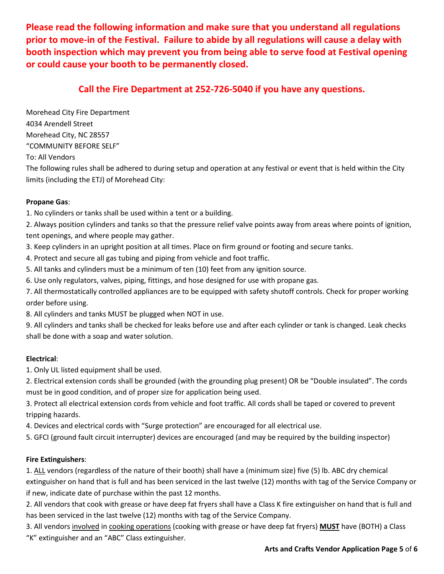**Please read the following information and make sure that you understand all regulations prior to move-in of the Festival. Failure to abide by all regulations will cause a delay with booth inspection which may prevent you from being able to serve food at Festival opening or could cause your booth to be permanently closed.** 

## **Call the Fire Department at 252-726-5040 if you have any questions.**

Morehead City Fire Department 4034 Arendell Street Morehead City, NC 28557 "COMMUNITY BEFORE SELF"

To: All Vendors

The following rules shall be adhered to during setup and operation at any festival or event that is held within the City limits (including the ETJ) of Morehead City:

### **Propane Gas**:

1. No cylinders or tanks shall be used within a tent or a building.

2. Always position cylinders and tanks so that the pressure relief valve points away from areas where points of ignition, tent openings, and where people may gather.

3. Keep cylinders in an upright position at all times. Place on firm ground or footing and secure tanks.

4. Protect and secure all gas tubing and piping from vehicle and foot traffic.

5. All tanks and cylinders must be a minimum of ten (10) feet from any ignition source.

6. Use only regulators, valves, piping, fittings, and hose designed for use with propane gas.

7. All thermostatically controlled appliances are to be equipped with safety shutoff controls. Check for proper working order before using.

8. All cylinders and tanks MUST be plugged when NOT in use.

9. All cylinders and tanks shall be checked for leaks before use and after each cylinder or tank is changed. Leak checks shall be done with a soap and water solution.

### **Electrical**:

1. Only UL listed equipment shall be used.

2. Electrical extension cords shall be grounded (with the grounding plug present) OR be "Double insulated". The cords must be in good condition, and of proper size for application being used.

3. Protect all electrical extension cords from vehicle and foot traffic. All cords shall be taped or covered to prevent tripping hazards.

4. Devices and electrical cords with "Surge protection" are encouraged for all electrical use.

5. GFCI (ground fault circuit interrupter) devices are encouraged (and may be required by the building inspector)

### **Fire Extinguishers**:

1. ALL vendors (regardless of the nature of their booth) shall have a (minimum size) five (5) lb. ABC dry chemical extinguisher on hand that is full and has been serviced in the last twelve (12) months with tag of the Service Company or if new, indicate date of purchase within the past 12 months.

2. All vendors that cook with grease or have deep fat fryers shall have a Class K fire extinguisher on hand that is full and has been serviced in the last twelve (12) months with tag of the Service Company.

3. All vendors involved in cooking operations (cooking with grease or have deep fat fryers) **MUST** have (BOTH) a Class "K" extinguisher and an "ABC" Class extinguisher.